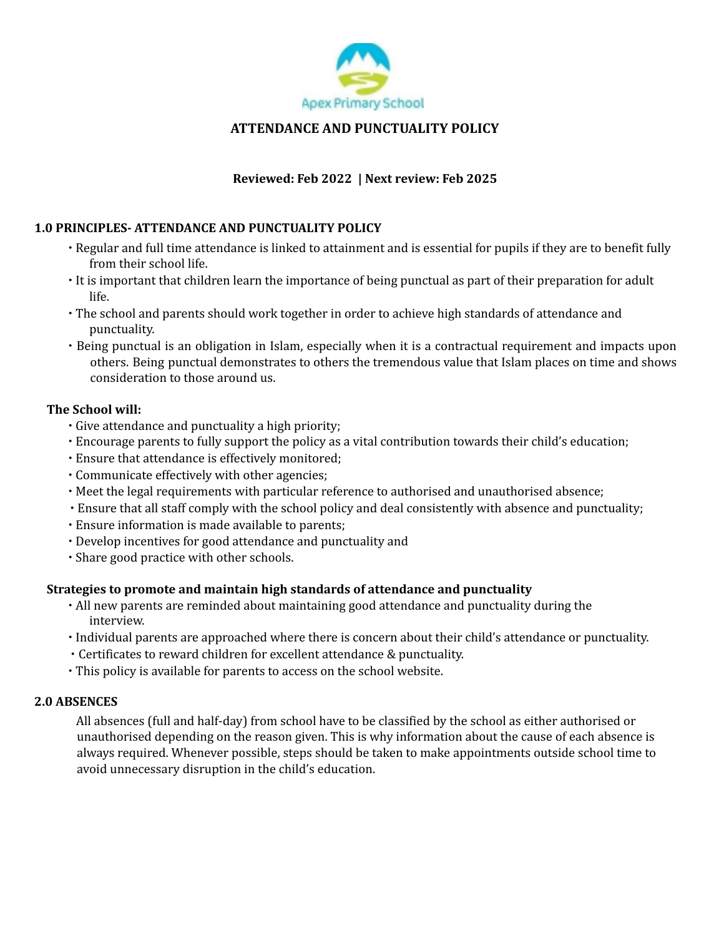

# **ATTENDANCE AND PUNCTUALITY POLICY**

# **Reviewed: Feb 2022 | Next review: Feb 2025**

# **1.0 PRINCIPLES- ATTENDANCE AND PUNCTUALITY POLICY**

- ∙ Regular and full time attendance is linked to attainment and is essential for pupils if they are to benefit fully from their school life.
- ∙ It is important that children learn the importance of being punctual as part of their preparation for adult life.
- ∙ The school and parents should work together in order to achieve high standards of attendance and punctuality.
- ∙ Being punctual is an obligation in Islam, especially when it is a contractual requirement and impacts upon others. Being punctual demonstrates to others the tremendous value that Islam places on time and shows consideration to those around us.

## **The School will:**

- ∙ Give attendance and punctuality a high priority;
- ∙ Encourage parents to fully support the policy as a vital contribution towards their child's education;
- ∙ Ensure that attendance is effectively monitored;
- ∙ Communicate effectively with other agencies;
- ∙ Meet the legal requirements with particular reference to authorised and unauthorised absence;
- ∙ Ensure that all staff comply with the school policy and deal consistently with absence and punctuality;
- ∙ Ensure information is made available to parents;
- ∙ Develop incentives for good attendance and punctuality and
- ∙ Share good practice with other schools.

## **Strategies to promote and maintain high standards of attendance and punctuality**

- ∙ All new parents are reminded about maintaining good attendance and punctuality during the interview.
- ∙ Individual parents are approached where there is concern about their child's attendance or punctuality.
- ∙ Certificates to reward children for excellent attendance & punctuality.
- ∙ This policy is available for parents to access on the school website.

## **2.0 ABSENCES**

All absences (full and half-day) from school have to be classified by the school as either authorised or unauthorised depending on the reason given. This is why information about the cause of each absence is always required. Whenever possible, steps should be taken to make appointments outside school time to avoid unnecessary disruption in the child's education.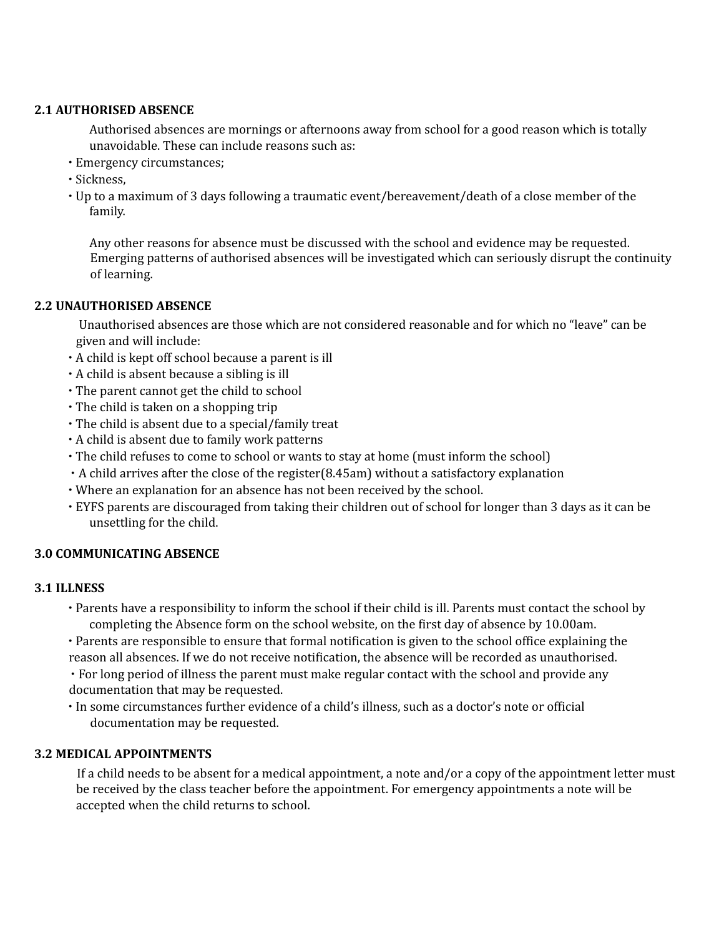## **2.1 AUTHORISED ABSENCE**

Authorised absences are mornings or afternoons away from school for a good reason which is totally unavoidable. These can include reasons such as:

- ∙ Emergency circumstances;
- ∙ Sickness,
- ∙ Up to a maximum of 3 days following a traumatic event/bereavement/death of a close member of the family.

Any other reasons for absence must be discussed with the school and evidence may be requested. Emerging patterns of authorised absences will be investigated which can seriously disrupt the continuity of learning.

## **2.2 UNAUTHORISED ABSENCE**

Unauthorised absences are those which are not considered reasonable and for which no "leave" can be given and will include:

- ∙ A child is kept off school because a parent is ill
- ∙ A child is absent because a sibling is ill
- ∙ The parent cannot get the child to school
- ∙ The child is taken on a shopping trip
- ∙ The child is absent due to a special/family treat
- ∙ A child is absent due to family work patterns
- ∙ The child refuses to come to school or wants to stay at home (must inform the school)
- ∙ A child arrives after the close of the register(8.45am) without a satisfactory explanation
- ∙ Where an explanation for an absence has not been received by the school.
- ∙ EYFS parents are discouraged from taking their children out of school for longer than 3 days as it can be unsettling for the child.

#### **3.0 COMMUNICATING ABSENCE**

#### **3.1 ILLNESS**

- ∙ Parents have a responsibility to inform the school if their child is ill. Parents must contact the school by completing the Absence form on the school website, on the first day of absence by 10.00am.
- ∙ Parents are responsible to ensure that formal notification is given to the school office explaining the reason all absences. If we do not receive notification, the absence will be recorded as unauthorised.

∙ For long period of illness the parent must make regular contact with the school and provide any documentation that may be requested.

∙ In some circumstances further evidence of a child's illness, such as a doctor's note or official documentation may be requested.

## **3.2 MEDICAL APPOINTMENTS**

If a child needs to be absent for a medical appointment, a note and/or a copy of the appointment letter must be received by the class teacher before the appointment. For emergency appointments a note will be accepted when the child returns to school.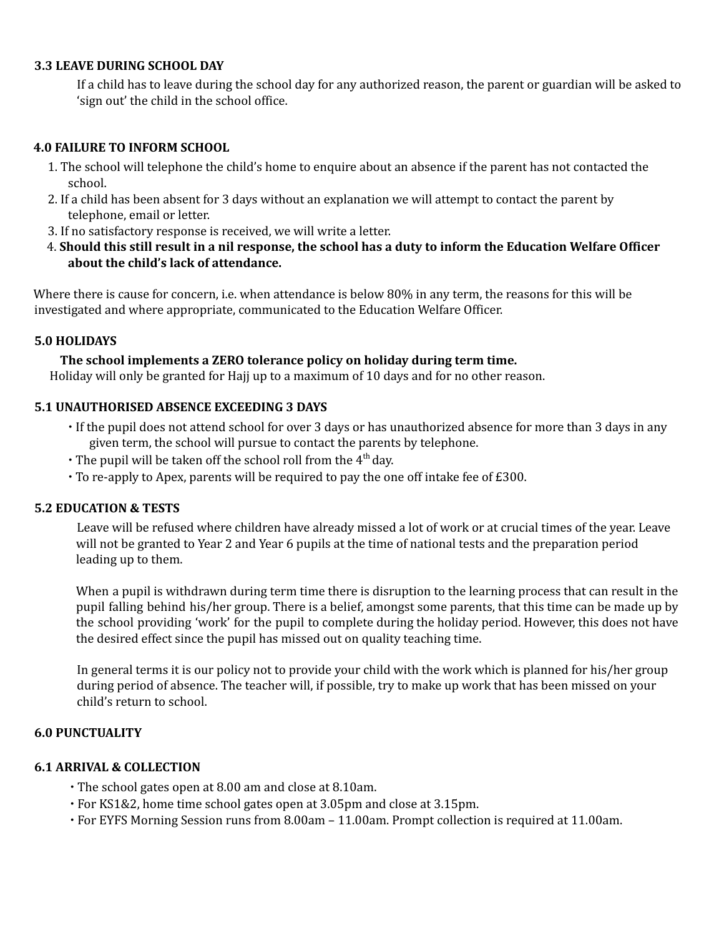### **3.3 LEAVE DURING SCHOOL DAY**

If a child has to leave during the school day for any authorized reason, the parent or guardian will be asked to 'sign out' the child in the school office.

## **4.0 FAILURE TO INFORM SCHOOL**

- 1. The school will telephone the child's home to enquire about an absence if the parent has not contacted the school.
- 2. If a child has been absent for 3 days without an explanation we will attempt to contact the parent by telephone, email or letter.
- 3. If no satisfactory response is received, we will write a letter.
- 4. Should this still result in a nil response, the school has a duty to inform the Education Welfare Officer **about the child's lack of attendance.**

Where there is cause for concern, i.e. when attendance is below 80% in any term, the reasons for this will be investigated and where appropriate, communicated to the Education Welfare Officer.

### **5.0 HOLIDAYS**

#### **The school implements a ZERO tolerance policy on holiday during term time.**

Holiday will only be granted for Hajj up to a maximum of 10 days and for no other reason.

#### **5.1 UNAUTHORISED ABSENCE EXCEEDING 3 DAYS**

- ∙ If the pupil does not attend school for over 3 days or has unauthorized absence for more than 3 days in any given term, the school will pursue to contact the parents by telephone.
- The pupil will be taken off the school roll from the 4<sup>th</sup> day.
- ∙ To re-apply to Apex, parents will be required to pay the one off intake fee of £300.

#### **5.2 EDUCATION & TESTS**

Leave will be refused where children have already missed a lot of work or at crucial times of the year. Leave will not be granted to Year 2 and Year 6 pupils at the time of national tests and the preparation period leading up to them.

When a pupil is withdrawn during term time there is disruption to the learning process that can result in the pupil falling behind his/her group. There is a belief, amongst some parents, that this time can be made up by the school providing 'work' for the pupil to complete during the holiday period. However, this does not have the desired effect since the pupil has missed out on quality teaching time.

In general terms it is our policy not to provide your child with the work which is planned for his/her group during period of absence. The teacher will, if possible, try to make up work that has been missed on your child's return to school.

#### **6.0 PUNCTUALITY**

#### **6.1 ARRIVAL & COLLECTION**

- ∙ The school gates open at 8.00 am and close at 8.10am.
- ∙ For KS1&2, home time school gates open at 3.05pm and close at 3.15pm.
- ∙ For EYFS Morning Session runs from 8.00am 11.00am. Prompt collection is required at 11.00am.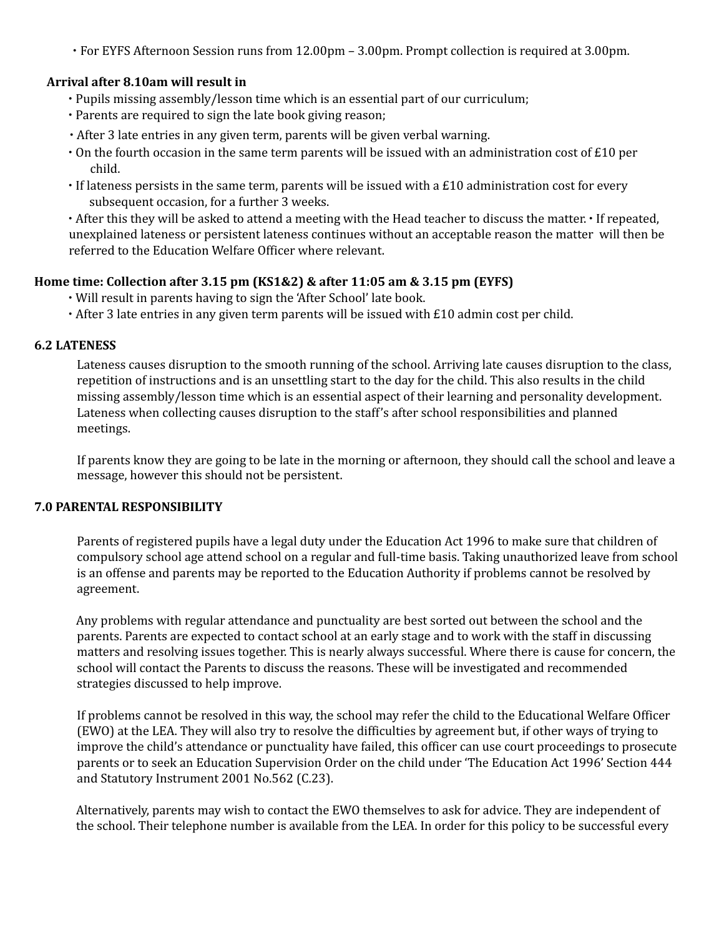∙ For EYFS Afternoon Session runs from 12.00pm – 3.00pm. Prompt collection is required at 3.00pm.

## **Arrival after 8.10am will result in**

- ∙ Pupils missing assembly/lesson time which is an essential part of our curriculum;
- ∙ Parents are required to sign the late book giving reason;
- ∙ After 3 late entries in any given term, parents will be given verbal warning.
- On the fourth occasion in the same term parents will be issued with an administration cost of  $E10$  per child.
- ∙ If lateness persists in the same term, parents will be issued with a £10 administration cost for every subsequent occasion, for a further 3 weeks.

∙ After this they will be asked to attend a meeting with the Head teacher to discuss the matter. ∙ If repeated, unexplained lateness or persistent lateness continues without an acceptable reason the matter will then be referred to the Education Welfare Officer where relevant.

# **Home time: Collection after 3.15 pm (KS1&2) & after 11:05 am & 3.15 pm (EYFS)**

- ∙ Will result in parents having to sign the 'After School' late book.
- ∙ After 3 late entries in any given term parents will be issued with £10 admin cost per child.

### **6.2 LATENESS**

Lateness causes disruption to the smooth running of the school. Arriving late causes disruption to the class, repetition of instructions and is an unsettling start to the day for the child. This also results in the child missing assembly/lesson time which is an essential aspect of their learning and personality development. Lateness when collecting causes disruption to the staff's after school responsibilities and planned meetings.

If parents know they are going to be late in the morning or afternoon, they should call the school and leave a message, however this should not be persistent.

# **7.0 PARENTAL RESPONSIBILITY**

Parents of registered pupils have a legal duty under the Education Act 1996 to make sure that children of compulsory school age attend school on a regular and full-time basis. Taking unauthorized leave from school is an offense and parents may be reported to the Education Authority if problems cannot be resolved by agreement.

Any problems with regular attendance and punctuality are best sorted out between the school and the parents. Parents are expected to contact school at an early stage and to work with the staff in discussing matters and resolving issues together. This is nearly always successful. Where there is cause for concern, the school will contact the Parents to discuss the reasons. These will be investigated and recommended strategies discussed to help improve.

If problems cannot be resolved in this way, the school may refer the child to the Educational Welfare Officer (EWO) at the LEA. They will also try to resolve the difficulties by agreement but, if other ways of trying to improve the child's attendance or punctuality have failed, this officer can use court proceedings to prosecute parents or to seek an Education Supervision Order on the child under 'The Education Act 1996' Section 444 and Statutory Instrument 2001 No.562 (C.23).

Alternatively, parents may wish to contact the EWO themselves to ask for advice. They are independent of the school. Their telephone number is available from the LEA. In order for this policy to be successful every